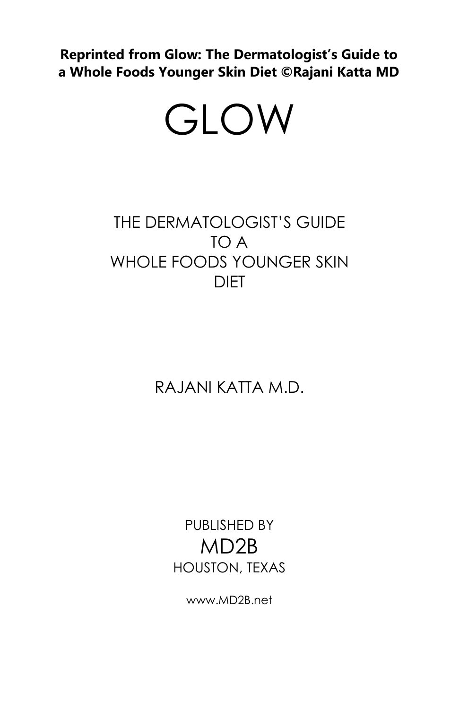**Reprinted from Glow: The Dermatologist's Guide to a Whole Foods Younger Skin Diet ©Rajani Katta MD**

## GLOW

## THE DERMATOLOGIST'S GUIDE TO A WHOLE FOODS YOUNGER SKIN **DIFT**

RAJANI KATTA M.D.

PUBLISHED BY MD2B HOUSTON, TEXAS

www.MD2B.net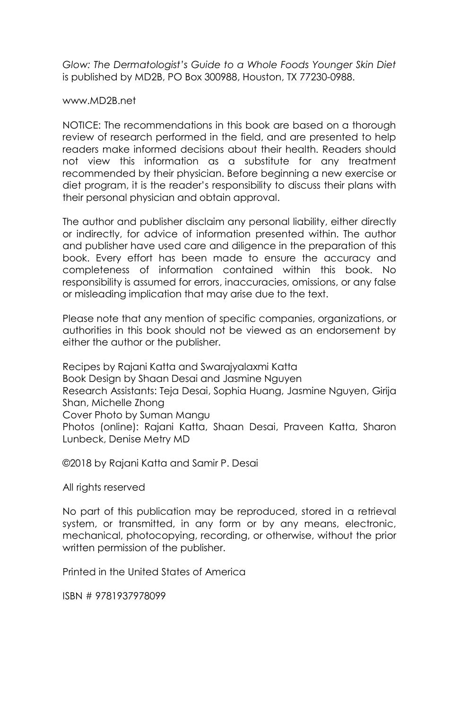*Glow: The Dermatologist's Guide to a Whole Foods Younger Skin Diet* is published by MD2B, PO Box 300988, Houston, TX 77230-0988.

#### www.MD2B.net

NOTICE: The recommendations in this book are based on a thorough review of research performed in the field, and are presented to help readers make informed decisions about their health. Readers should not view this information as a substitute for any treatment recommended by their physician. Before beginning a new exercise or diet program, it is the reader's responsibility to discuss their plans with their personal physician and obtain approval.

The author and publisher disclaim any personal liability, either directly or indirectly, for advice of information presented within. The author and publisher have used care and diligence in the preparation of this book. Every effort has been made to ensure the accuracy and completeness of information contained within this book. No responsibility is assumed for errors, inaccuracies, omissions, or any false or misleading implication that may arise due to the text.

Please note that any mention of specific companies, organizations, or authorities in this book should not be viewed as an endorsement by either the author or the publisher.

Recipes by Rajani Katta and Swarajyalaxmi Katta Book Design by Shaan Desai and Jasmine Nguyen Research Assistants: Teja Desai, Sophia Huang, Jasmine Nguyen, Girija Shan, Michelle Zhong Cover Photo by Suman Mangu Photos (online): Rajani Katta, Shaan Desai, Praveen Katta, Sharon Lunbeck, Denise Metry MD

©2018 by Rajani Katta and Samir P. Desai

All rights reserved

No part of this publication may be reproduced, stored in a retrieval system, or transmitted, in any form or by any means, electronic, mechanical, photocopying, recording, or otherwise, without the prior written permission of the publisher.

Printed in the United States of America

ISBN # 9781937978099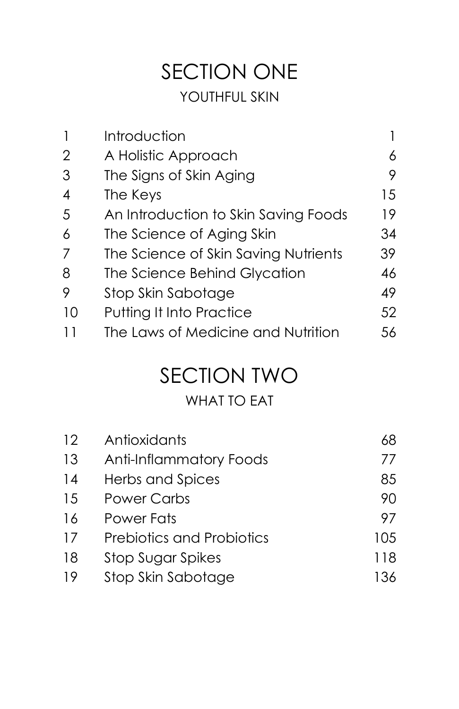## SECTION ONE YOUTHFUL SKIN

| 1  | Introduction                         |    |
|----|--------------------------------------|----|
| 2  | A Holistic Approach                  | 6  |
| 3  | The Signs of Skin Aging              | 9  |
| 4  | The Keys                             | 15 |
| 5  | An Introduction to Skin Saving Foods | 19 |
| 6  | The Science of Aging Skin            | 34 |
| 7  | The Science of Skin Saving Nutrients | 39 |
| 8  | The Science Behind Glycation         | 46 |
| 9  | Stop Skin Sabotage                   | 49 |
| 10 | Putting It Into Practice             | 52 |
|    | The Laws of Medicine and Nutrition   | 56 |

## SECTION TWO

## WHAT TO EAT

| 12 | Antioxidants                     | 68   |
|----|----------------------------------|------|
| 13 | Anti-Inflammatory Foods          | 77   |
| 14 | Herbs and Spices                 | 85   |
| 15 | <b>Power Carbs</b>               | 90   |
| 16 | Power Fats                       | 97   |
| 17 | <b>Prebiotics and Probiotics</b> | 105  |
| 18 | Stop Sugar Spikes                | 118  |
| 19 | Stop Skin Sabotage               | 136. |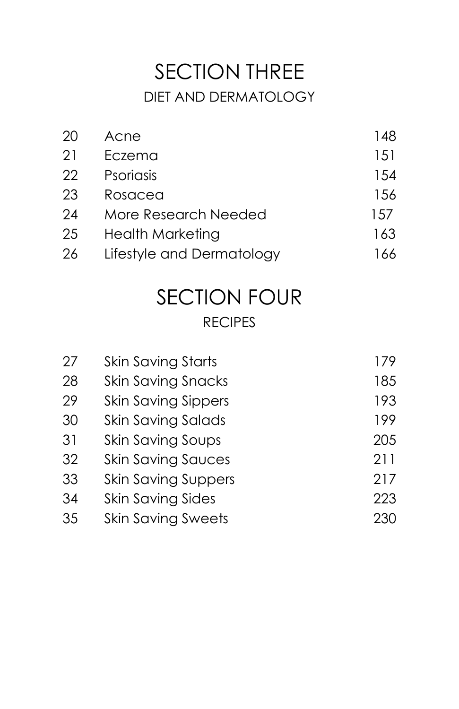## SECTION THREE DIET AND DERMATOLOGY

| 20 | Acne                      | 148 |
|----|---------------------------|-----|
| 21 | Eczema                    | 151 |
| 22 | Psoriasis                 | 154 |
| 23 | Rosacea                   | 156 |
| 24 | More Research Needed      | 157 |
| 25 | <b>Health Marketing</b>   | 163 |
| 26 | Lifestyle and Dermatology | 166 |

## SECTION FOUR RECIPES

| 27 | <b>Skin Saving Starts</b>  | 179 |
|----|----------------------------|-----|
| 28 | <b>Skin Saving Snacks</b>  | 185 |
| 29 | <b>Skin Saving Sippers</b> | 193 |
| 30 | Skin Saving Salads         | 199 |
| 31 | <b>Skin Saving Soups</b>   | 205 |
| 32 | <b>Skin Saving Sauces</b>  | 211 |
| 33 | <b>Skin Saving Suppers</b> | 217 |
| 34 | <b>Skin Saving Sides</b>   | 223 |
| 35 | <b>Skin Saving Sweets</b>  | 230 |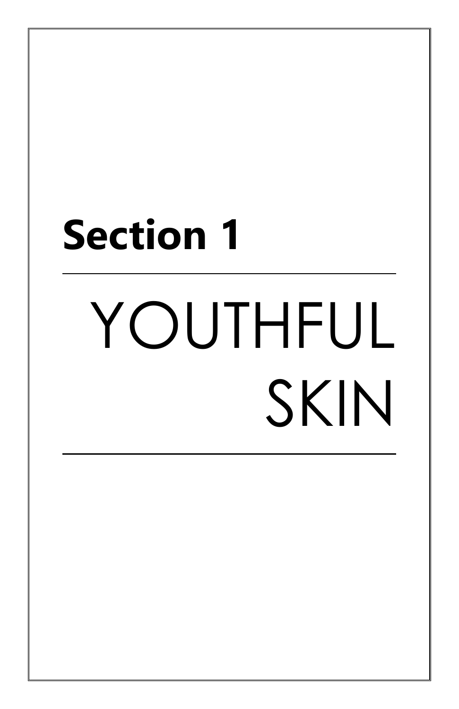# **Section 1** YOUTHFUL SKIN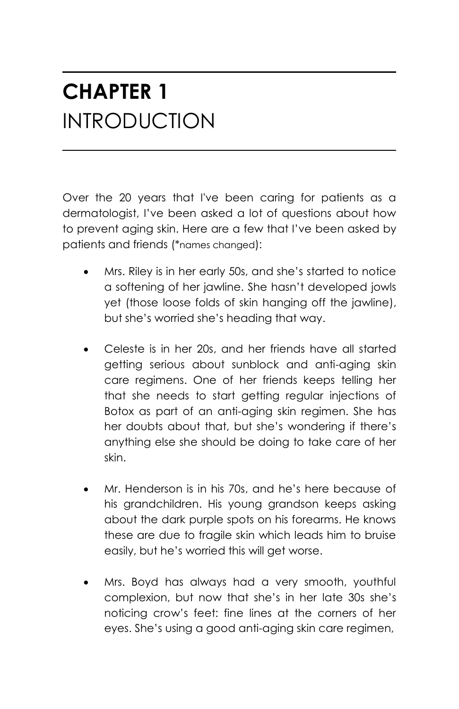## **CHAPTER 1** INTRODUCTION

Over the 20 years that I've been caring for patients as a dermatologist, I've been asked a lot of questions about how to prevent aging skin. Here are a few that I've been asked by patients and friends (\*names changed):

- Mrs. Riley is in her early 50s, and she's started to notice a softening of her jawline. She hasn't developed jowls yet (those loose folds of skin hanging off the jawline), but she's worried she's heading that way.
- Celeste is in her 20s, and her friends have all started getting serious about sunblock and anti-aging skin care regimens. One of her friends keeps telling her that she needs to start getting regular injections of Botox as part of an anti-aging skin regimen. She has her doubts about that, but she's wondering if there's anything else she should be doing to take care of her skin.
- Mr. Henderson is in his 70s, and he's here because of his grandchildren. His young grandson keeps asking about the dark purple spots on his forearms. He knows these are due to fragile skin which leads him to bruise easily, but he's worried this will get worse.
- Mrs. Boyd has always had a very smooth, youthful complexion, but now that she's in her late 30s she's noticing crow's feet: fine lines at the corners of her eyes. She's using a good anti-aging skin care regimen,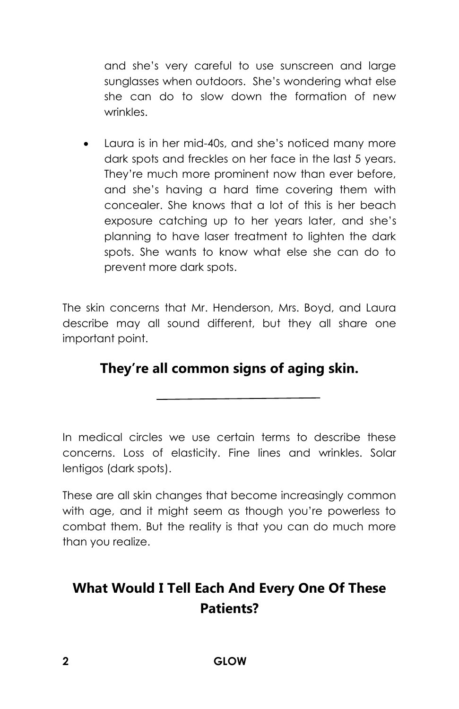and she's very careful to use sunscreen and large sunglasses when outdoors. She's wondering what else she can do to slow down the formation of new wrinkles.

• Laura is in her mid-40s, and she's noticed many more dark spots and freckles on her face in the last 5 years. They're much more prominent now than ever before, and she's having a hard time covering them with concealer. She knows that a lot of this is her beach exposure catching up to her years later, and she's planning to have laser treatment to lighten the dark spots. She wants to know what else she can do to prevent more dark spots.

The skin concerns that Mr. Henderson, Mrs. Boyd, and Laura describe may all sound different, but they all share one important point.

#### **They're all common signs of aging skin.**

In medical circles we use certain terms to describe these concerns. Loss of elasticity. Fine lines and wrinkles. Solar lentigos (dark spots).

These are all skin changes that become increasingly common with age, and it might seem as though you're powerless to combat them. But the reality is that you can do much more than you realize.

## **What Would I Tell Each And Every One Of These Patients?**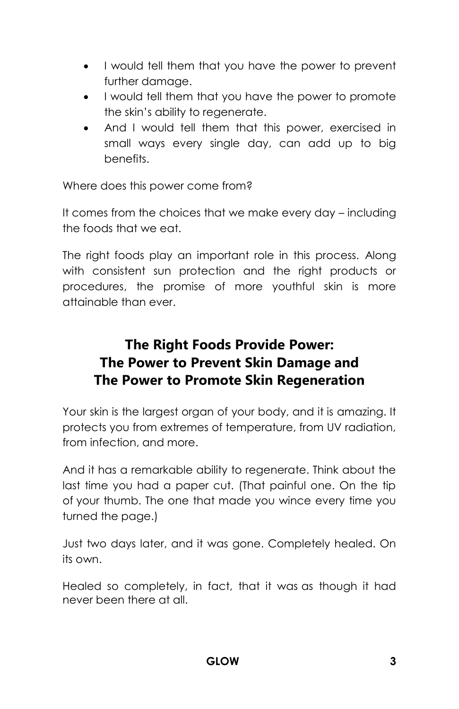- I would tell them that you have the power to prevent further damage.
- I would tell them that you have the power to promote the skin's ability to regenerate.
- And I would tell them that this power, exercised in small ways every single day, can add up to big benefits.

Where does this power come from?

It comes from the choices that we make every day – including the foods that we eat.

The right foods play an important role in this process. Along with consistent sun protection and the right products or procedures, the promise of more youthful skin is more attainable than ever.

## **The Right Foods Provide Power: The Power to Prevent Skin Damage and The Power to Promote Skin Regeneration**

Your skin is the largest organ of your body, and it is amazing. It protects you from extremes of temperature, from UV radiation, from infection, and more.

And it has a remarkable ability to regenerate. Think about the last time you had a paper cut. (That painful one. On the tip of your thumb. The one that made you wince every time you turned the page.)

Just two days later, and it was gone. Completely healed. On its own.

Healed so completely, in fact, that it was as though it had never been there at all.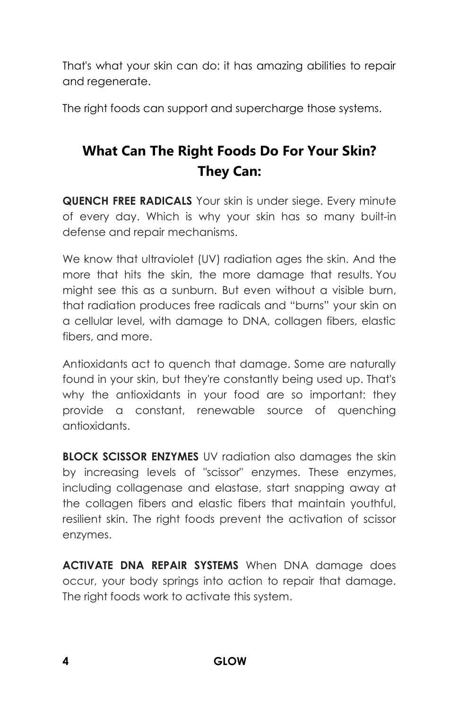That's what your skin can do: it has amazing abilities to repair and regenerate.

The right foods can support and supercharge those systems.

## **What Can The Right Foods Do For Your Skin? They Can:**

**QUENCH FREE RADICALS** Your skin is under siege. Every minute of every day. Which is why your skin has so many built-in defense and repair mechanisms.

We know that ultraviolet (UV) radiation ages the skin. And the more that hits the skin, the more damage that results. You might see this as a sunburn. But even without a visible burn, that radiation produces free radicals and "burns" your skin on a cellular level, with damage to DNA, collagen fibers, elastic fibers, and more.

Antioxidants act to quench that damage. Some are naturally found in your skin, but they're constantly being used up. That's why the antioxidants in your food are so important: they provide a constant, renewable source of quenching antioxidants.

**BLOCK SCISSOR ENZYMES** UV radiation also damages the skin by increasing levels of "scissor" enzymes. These enzymes, including collagenase and elastase, start snapping away at the collagen fibers and elastic fibers that maintain youthful, resilient skin. The right foods prevent the activation of scissor enzymes.

**ACTIVATE DNA REPAIR SYSTEMS** When DNA damage does occur, your body springs into action to repair that damage. The right foods work to activate this system.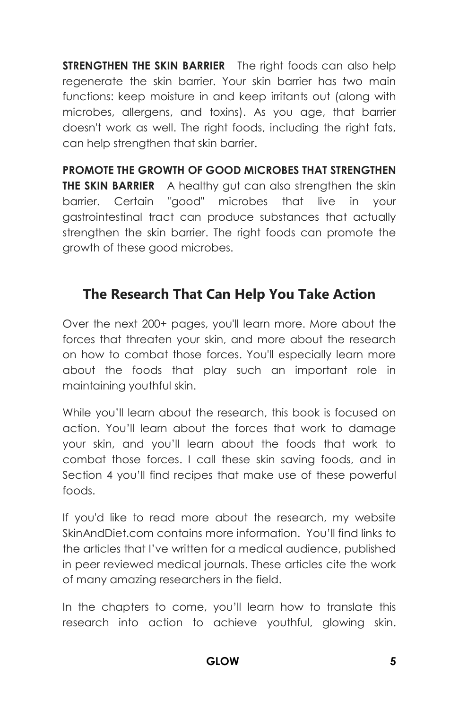**STRENGTHEN THE SKIN BARRIER** The right foods can also help regenerate the skin barrier. Your skin barrier has two main functions: keep moisture in and keep irritants out (along with microbes, allergens, and toxins). As you age, that barrier doesn't work as well. The right foods, including the right fats, can help strengthen that skin barrier.

**PROMOTE THE GROWTH OF GOOD MICROBES THAT STRENGTHEN THE SKIN BARRIER** A healthy gut can also strengthen the skin barrier. Certain "good" microbes that live in your gastrointestinal tract can produce substances that actually strengthen the skin barrier. The right foods can promote the growth of these good microbes.

#### **The Research That Can Help You Take Action**

Over the next 200+ pages, you'll learn more. More about the forces that threaten your skin, and more about the research on how to combat those forces. You'll especially learn more about the foods that play such an important role in maintaining youthful skin.

While you'll learn about the research, this book is focused on action. You'll learn about the forces that work to damage your skin, and you'll learn about the foods that work to combat those forces. I call these skin saving foods, and in Section 4 you'll find recipes that make use of these powerful foods.

If you'd like to read more about the research, my website SkinAndDiet.com contains more information. You'll find links to the articles that I've written for a medical audience, published in peer reviewed medical journals. These articles cite the work of many amazing researchers in the field.

In the chapters to come, you'll learn how to translate this research into action to achieve youthful, glowing skin.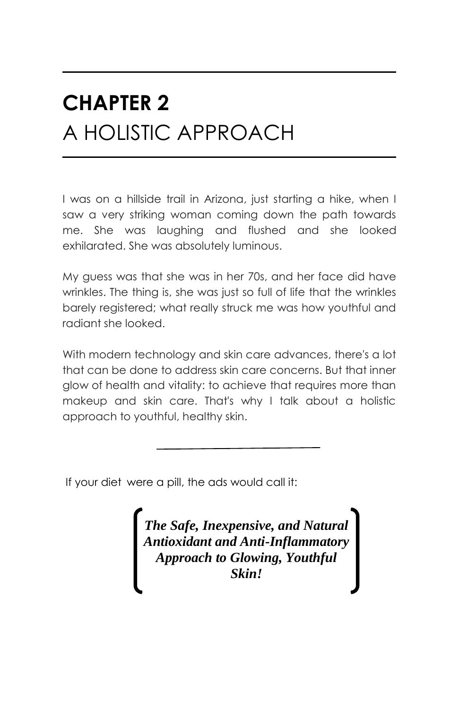## **CHAPTER 2** A HOLISTIC APPROACH

I was on a hillside trail in Arizona, just starting a hike, when I saw a very striking woman coming down the path towards me. She was laughing and flushed and she looked exhilarated. She was absolutely luminous.

My guess was that she was in her 70s, and her face did have wrinkles. The thing is, she was just so full of life that the wrinkles barely registered; what really struck me was how youthful and radiant she looked.

With modern technology and skin care advances, there's a lot that can be done to address skin care concerns. But that inner glow of health and vitality: to achieve that requires more than makeup and skin care. That's why I talk about a holistic approach to youthful, healthy skin.

If your diet were a pill, the ads would call it:

*The Safe, Inexpensive, and Natural Antioxidant and Anti-Inflammatory Approach to Glowing, Youthful Skin!*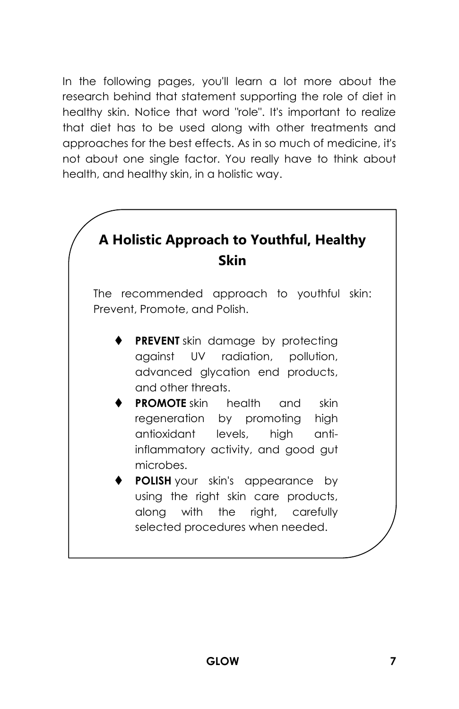In the following pages, you'll learn a lot more about the research behind that statement supporting the role of diet in healthy skin. Notice that word "role". It's important to realize that diet has to be used along with other treatments and approaches for the best effects. As in so much of medicine, it's not about one single factor. You really have to think about health, and healthy skin, in a holistic way.

## **A Holistic Approach to Youthful, Healthy Skin**

The recommended approach to youthful skin: Prevent, Promote, and Polish.

- **PREVENT** skin damage by protecting against UV radiation, pollution, advanced glycation end products, and other threats.
- **PROMOTE** skin health and skin regeneration by promoting high antioxidant levels, high antiinflammatory activity, and good gut microbes.
- **POLISH** your skin's appearance by using the right skin care products, along with the right, carefully selected procedures when needed.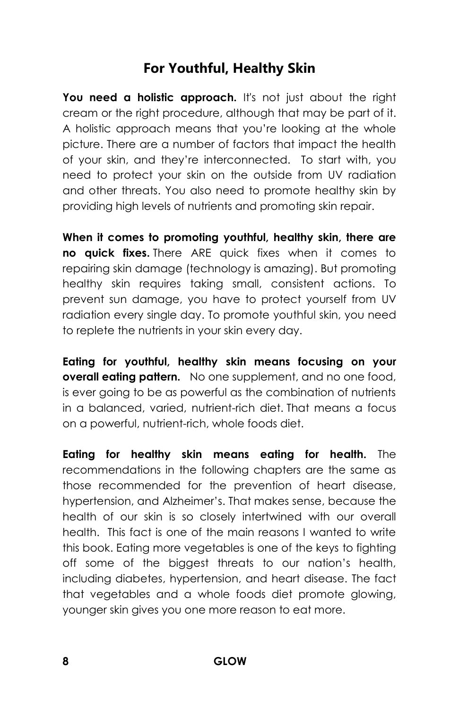#### **For Youthful, Healthy Skin**

You need a holistic approach. It's not just about the right cream or the right procedure, although that may be part of it. A holistic approach means that you're looking at the whole picture. There are a number of factors that impact the health of your skin, and they're interconnected. To start with, you need to protect your skin on the outside from UV radiation and other threats. You also need to promote healthy skin by providing high levels of nutrients and promoting skin repair.

**When it comes to promoting youthful, healthy skin, there are no quick fixes.** There ARE quick fixes when it comes to repairing skin damage (technology is amazing). But promoting healthy skin requires taking small, consistent actions. To prevent sun damage, you have to protect yourself from UV radiation every single day. To promote youthful skin, you need to replete the nutrients in your skin every day.

**Eating for youthful, healthy skin means focusing on your overall eating pattern.** No one supplement, and no one food, is ever going to be as powerful as the combination of nutrients in a balanced, varied, nutrient-rich diet. That means a focus on a powerful, nutrient-rich, whole foods diet.

**Eating for healthy skin means eating for health.** The recommendations in the following chapters are the same as those recommended for the prevention of heart disease, hypertension, and Alzheimer's. That makes sense, because the health of our skin is so closely intertwined with our overall health. This fact is one of the main reasons I wanted to write this book. Eating more vegetables is one of the keys to fighting off some of the biggest threats to our nation's health, including diabetes, hypertension, and heart disease. The fact that vegetables and a whole foods diet promote glowing, younger skin gives you one more reason to eat more.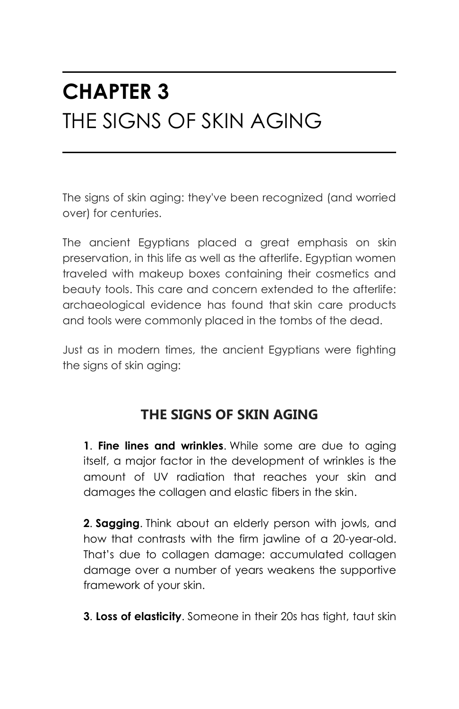## **CHAPTER 3** THE SIGNS OF SKIN AGING

The signs of skin aging: they've been recognized (and worried over) for centuries.

The ancient Egyptians placed a great emphasis on skin preservation, in this life as well as the afterlife. Egyptian women traveled with makeup boxes containing their cosmetics and beauty tools. This care and concern extended to the afterlife: archaeological evidence has found that skin care products and tools were commonly placed in the tombs of the dead.

Just as in modern times, the ancient Egyptians were fighting the signs of skin aging:

#### **THE SIGNS OF SKIN AGING**

**1**. **Fine lines and wrinkles**. While some are due to aging itself, a major factor in the development of wrinkles is the amount of UV radiation that reaches your skin and damages the collagen and elastic fibers in the skin.

**2**. **Sagging**. Think about an elderly person with jowls, and how that contrasts with the firm jawline of a 20-year-old. That's due to collagen damage: accumulated collagen damage over a number of years weakens the supportive framework of your skin.

**3**. **Loss of elasticity**. Someone in their 20s has tight, taut skin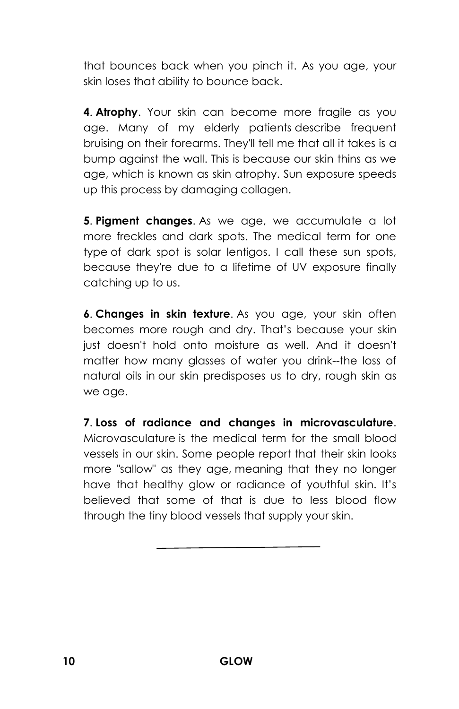that bounces back when you pinch it. As you age, your skin loses that ability to bounce back.

**4**. **Atrophy**. Your skin can become more fragile as you age. Many of my elderly patients describe frequent bruising on their forearms. They'll tell me that all it takes is a bump against the wall. This is because our skin thins as we age, which is known as skin atrophy. Sun exposure speeds up this process by damaging collagen.

**5**. **Pigment changes**. As we age, we accumulate a lot more freckles and dark spots. The medical term for one type of dark spot is solar lentigos. I call these sun spots, because they're due to a lifetime of UV exposure finally catching up to us.

**6**. **Changes in skin texture**. As you age, your skin often becomes more rough and dry. That's because your skin just doesn't hold onto moisture as well. And it doesn't matter how many glasses of water you drink--the loss of natural oils in our skin predisposes us to dry, rough skin as we age.

**7**. **Loss of radiance and changes in microvasculature**. Microvasculature is the medical term for the small blood vessels in our skin. Some people report that their skin looks more "sallow" as they age, meaning that they no longer have that healthy glow or radiance of youthful skin. It's believed that some of that is due to less blood flow through the tiny blood vessels that supply your skin.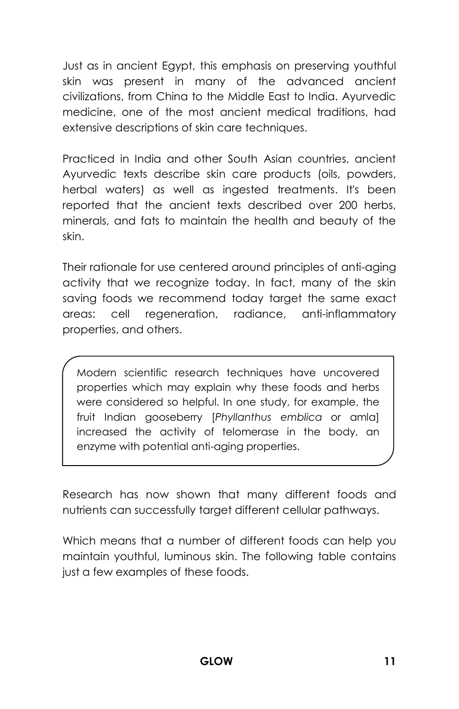Just as in ancient Egypt, this emphasis on preserving youthful skin was present in many of the advanced ancient civilizations, from China to the Middle East to India. Ayurvedic medicine, one of the most ancient medical traditions, had extensive descriptions of skin care techniques.

Practiced in India and other South Asian countries, ancient Ayurvedic texts describe skin care products (oils, powders, herbal waters) as well as ingested treatments. It's been reported that the ancient texts described over 200 herbs, minerals, and fats to maintain the health and beauty of the skin.

Their rationale for use centered around principles of anti-aging activity that we recognize today. In fact, many of the skin saving foods we recommend today target the same exact areas: cell regeneration, radiance, anti-inflammatory properties, and others.

Modern scientific research techniques have uncovered properties which may explain why these foods and herbs were considered so helpful. In one study, for example, the fruit Indian gooseberry [*Phyllanthus emblica* or amla] increased the activity of telomerase in the body, an enzyme with potential anti-aging properties.

Research has now shown that many different foods and nutrients can successfully target different cellular pathways.

Which means that a number of different foods can help you maintain youthful, luminous skin. The following table contains just a few examples of these foods.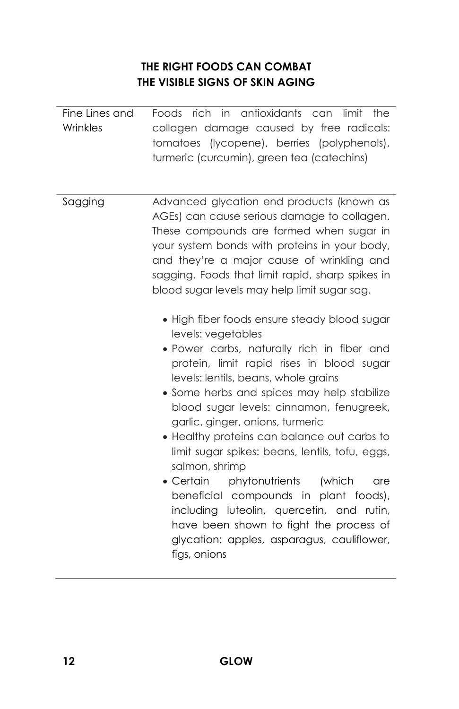#### **THE RIGHT FOODS CAN COMBAT THE VISIBLE SIGNS OF SKIN AGING**

| Fine Lines and<br>Wrinkles | Foods rich in antioxidants can limit<br>the<br>collagen damage caused by free radicals:<br>tomatoes (lycopene), berries (polyphenols),<br>turmeric (curcumin), green tea (catechins)                                                                                                                                                                                                                                                                                                                                                                                                                                                                                                                   |
|----------------------------|--------------------------------------------------------------------------------------------------------------------------------------------------------------------------------------------------------------------------------------------------------------------------------------------------------------------------------------------------------------------------------------------------------------------------------------------------------------------------------------------------------------------------------------------------------------------------------------------------------------------------------------------------------------------------------------------------------|
| Sagging                    | Advanced glycation end products (known as<br>AGEs) can cause serious damage to collagen.<br>These compounds are formed when sugar in<br>your system bonds with proteins in your body,<br>and they're a major cause of wrinkling and<br>sagging. Foods that limit rapid, sharp spikes in<br>blood sugar levels may help limit sugar sag.                                                                                                                                                                                                                                                                                                                                                                |
|                            | • High fiber foods ensure steady blood sugar<br>levels: vegetables<br>· Power carbs, naturally rich in fiber and<br>protein, limit rapid rises in blood sugar<br>levels: lentils, beans, whole grains<br>• Some herbs and spices may help stabilize<br>blood sugar levels: cinnamon, fenugreek,<br>garlic, ginger, onions, turmeric<br>• Healthy proteins can balance out carbs to<br>limit sugar spikes: beans, lentils, tofu, eggs,<br>salmon, shrimp<br>phytonutrients<br>• Certain<br>(which<br>are<br>beneficial compounds in plant foods),<br>including luteolin, quercetin, and rutin,<br>have been shown to fight the process of<br>glycation: apples, asparagus, cauliflower,<br>figs, onions |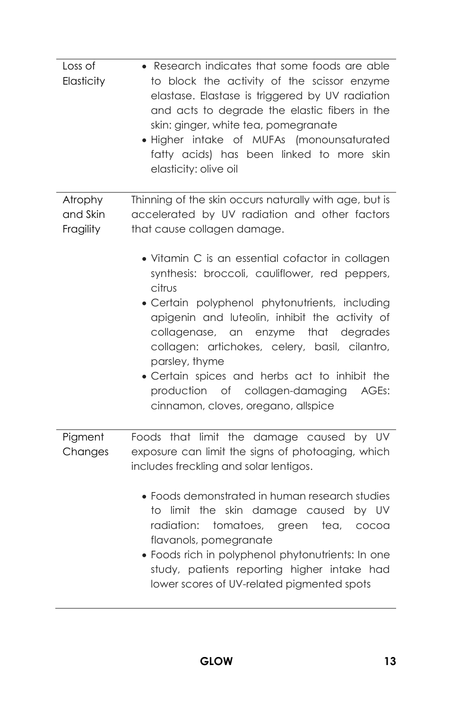| Loss of<br>Elasticity            | • Research indicates that some foods are able<br>to block the activity of the scissor enzyme<br>elastase. Elastase is triggered by UV radiation<br>and acts to degrade the elastic fibers in the<br>skin: ginger, white tea, pomegranate<br>· Higher intake of MUFAs (monounsaturated<br>fatty acids) has been linked to more skin<br>elasticity: olive oil                                                                                                         |
|----------------------------------|---------------------------------------------------------------------------------------------------------------------------------------------------------------------------------------------------------------------------------------------------------------------------------------------------------------------------------------------------------------------------------------------------------------------------------------------------------------------|
| Atrophy<br>and Skin<br>Fragility | Thinning of the skin occurs naturally with age, but is<br>accelerated by UV radiation and other factors<br>that cause collagen damage.                                                                                                                                                                                                                                                                                                                              |
|                                  | • Vitamin C is an essential cofactor in collagen<br>synthesis: broccoli, cauliflower, red peppers,<br>citrus<br>· Certain polyphenol phytonutrients, including<br>apigenin and luteolin, inhibit the activity of<br>collagenase, an enzyme that degrades<br>collagen: artichokes, celery, basil, cilantro,<br>parsley, thyme<br>· Certain spices and herbs act to inhibit the<br>of collagen-damaging<br>production<br>AGEs:<br>cinnamon, cloves, oregano, allspice |
| Pigment<br>Changes               | Foods that limit the damage caused by UV<br>exposure can limit the signs of photoaging, which<br>includes freckling and solar lentigos.                                                                                                                                                                                                                                                                                                                             |
|                                  | • Foods demonstrated in human research studies<br>to limit the skin damage caused by UV<br>radiation:<br>tomatoes,<br>tea,<br>green<br>cocoa<br>flavanols, pomegranate<br>· Foods rich in polyphenol phytonutrients: In one<br>study, patients reporting higher intake had<br>lower scores of UV-related pigmented spots                                                                                                                                            |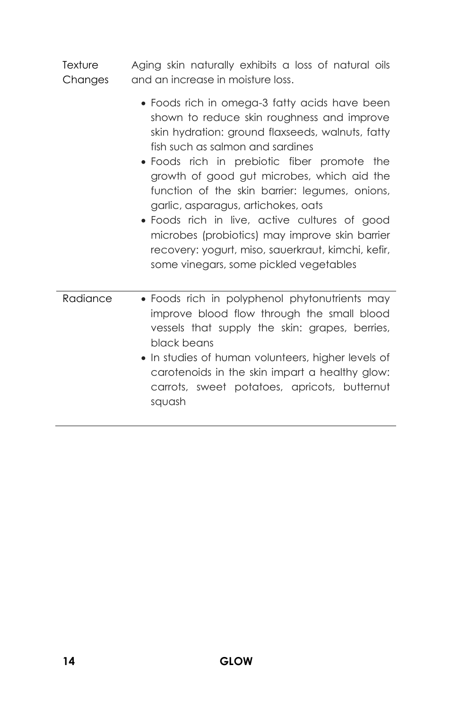**Texture** Changes Aging skin naturally exhibits a loss of natural oils and an increase in moisture loss.

- Foods rich in omega-3 fatty acids have been shown to reduce skin roughness and improve skin hydration: ground flaxseeds, walnuts, fatty fish such as salmon and sardines
- Foods rich in prebiotic fiber promote the growth of good gut microbes, which aid the function of the skin barrier: legumes, onions, garlic, asparagus, artichokes, oats
- Foods rich in live, active cultures of good microbes (probiotics) may improve skin barrier recovery: yogurt, miso, sauerkraut, kimchi, kefir, some vinegars, some pickled vegetables
- Radiance Foods rich in polyphenol phytonutrients may improve blood flow through the small blood vessels that supply the skin: grapes, berries, black beans
	- In studies of human volunteers, higher levels of carotenoids in the skin impart a healthy glow: carrots, sweet potatoes, apricots, butternut squash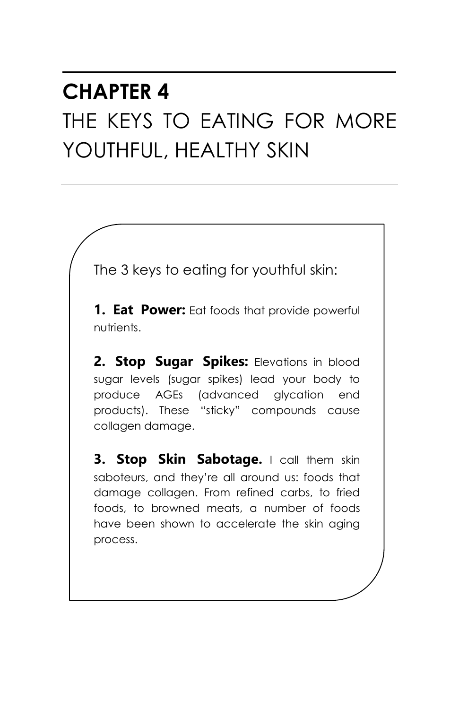## **CHAPTER 4** THE KEYS TO EATING FOR MORE YOUTHFUL, HEALTHY SKIN

The 3 keys to eating for youthful skin:

**1. Eat Power:** Eat foods that provide powerful nutrients.

**2. Stop Sugar Spikes:** Elevations in blood sugar levels (sugar spikes) lead your body to produce AGEs (advanced glycation end products). These "sticky" compounds cause collagen damage.

**3. Stop Skin Sabotage.** I call them skin saboteurs, and they're all around us: foods that damage collagen. From refined carbs, to fried foods, to browned meats, a number of foods have been shown to accelerate the skin aging process.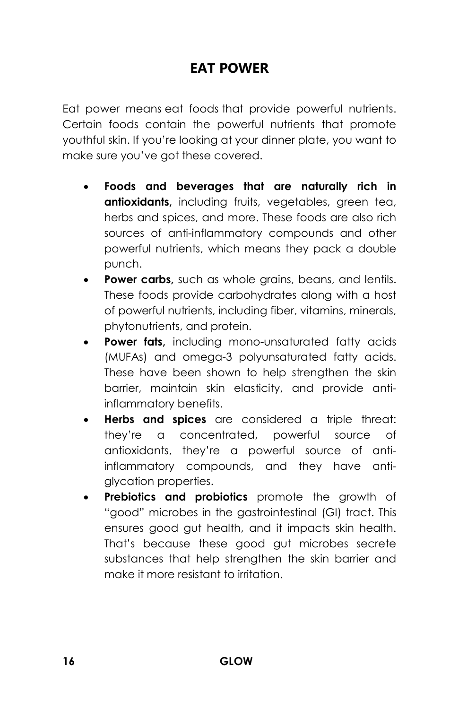## **EAT POWER**

Eat power means eat foods that provide powerful nutrients. Certain foods contain the powerful nutrients that promote youthful skin. If you're looking at your dinner plate, you want to make sure you've got these covered.

- **Foods and beverages that are naturally rich in antioxidants,** including fruits, vegetables, green tea, herbs and spices, and more. These foods are also rich sources of anti-inflammatory compounds and other powerful nutrients, which means they pack a double punch.
- **Power carbs,** such as whole grains, beans, and lentils. These foods provide carbohydrates along with a host of powerful nutrients, including fiber, vitamins, minerals, phytonutrients, and protein.
- **Power fats, including mono-unsaturated fatty acids** (MUFAs) and omega-3 polyunsaturated fatty acids. These have been shown to help strengthen the skin barrier, maintain skin elasticity, and provide antiinflammatory benefits.
- **Herbs and spices** are considered a triple threat: they're a concentrated, powerful source of antioxidants, they're a powerful source of antiinflammatory compounds, and they have antiglycation properties.
- **Prebiotics and probiotics** promote the growth of "good" microbes in the gastrointestinal (GI) tract. This ensures good gut health, and it impacts skin health. That's because these good gut microbes secrete substances that help strengthen the skin barrier and make it more resistant to irritation.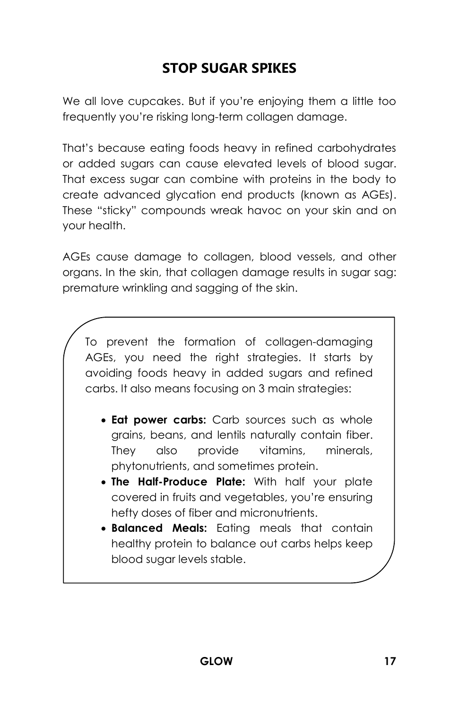## **STOP SUGAR SPIKES**

We all love cupcakes. But if you're enjoying them a little too frequently you're risking long-term collagen damage.

That's because eating foods heavy in refined carbohydrates or added sugars can cause elevated levels of blood sugar. That excess sugar can combine with proteins in the body to create advanced glycation end products (known as AGEs). These "sticky" compounds wreak havoc on your skin and on your health.

AGEs cause damage to collagen, blood vessels, and other organs. In the skin, that collagen damage results in sugar sag: premature wrinkling and sagging of the skin.

To prevent the formation of collagen-damaging AGEs, you need the right strategies. It starts by avoiding foods heavy in added sugars and refined carbs. It also means focusing on 3 main strategies:

- **Eat power carbs:** Carb sources such as whole grains, beans, and lentils naturally contain fiber. They also provide vitamins, minerals, phytonutrients, and sometimes protein.
- **The Half-Produce Plate:** With half your plate covered in fruits and vegetables, you're ensuring hefty doses of fiber and micronutrients.
- **Balanced Meals:** Eating meals that contain healthy protein to balance out carbs helps keep blood sugar levels stable.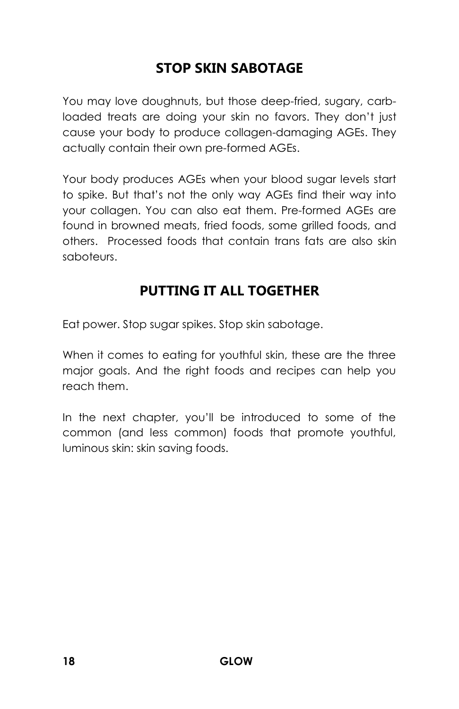## **STOP SKIN SABOTAGE**

You may love doughnuts, but those deep-fried, sugary, carbloaded treats are doing your skin no favors. They don't just cause your body to produce collagen-damaging AGEs. They actually contain their own pre-formed AGEs.

Your body produces AGEs when your blood sugar levels start to spike. But that's not the only way AGEs find their way into your collagen. You can also eat them. Pre-formed AGEs are found in browned meats, fried foods, some grilled foods, and others. Processed foods that contain trans fats are also skin saboteurs.

## **PUTTING IT ALL TOGETHER**

Eat power. Stop sugar spikes. Stop skin sabotage.

When it comes to eating for youthful skin, these are the three major goals. And the right foods and recipes can help you reach them.

In the next chapter, you'll be introduced to some of the common (and less common) foods that promote youthful, luminous skin: skin saving foods.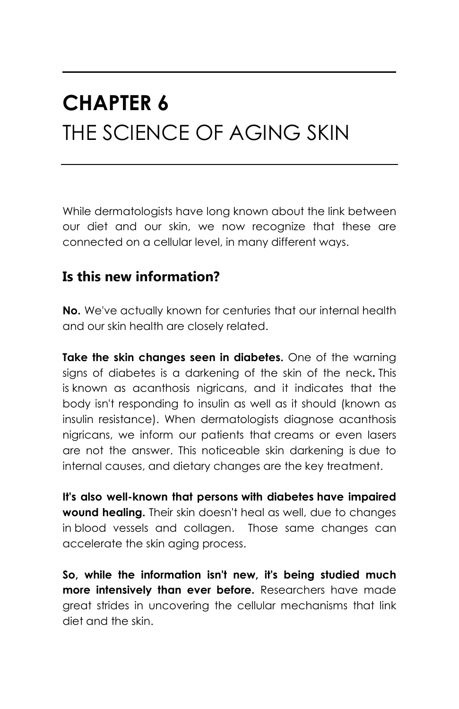## **CHAPTER 6** THE SCIENCE OF AGING SKIN

While dermatologists have long known about the link between our diet and our skin, we now recognize that these are connected on a cellular level, in many different ways.

#### **Is this new information?**

**No.** We've actually known for centuries that our internal health and our skin health are closely related.

**Take the skin changes seen in diabetes.** One of the warning signs of diabetes is a darkening of the skin of the neck**.** This is known as acanthosis nigricans, and it indicates that the body isn't responding to insulin as well as it should (known as insulin resistance). When dermatologists diagnose acanthosis nigricans, we inform our patients that creams or even lasers are not the answer. This noticeable skin darkening is due to internal causes, and dietary changes are the key treatment.

**It's also well-known that persons with diabetes have impaired wound healing.** Their skin doesn't heal as well, due to changes in blood vessels and collagen. Those same changes can accelerate the skin aging process.

**So, while the information isn't new, it's being studied much more intensively than ever before.** Researchers have made great strides in uncovering the cellular mechanisms that link diet and the skin.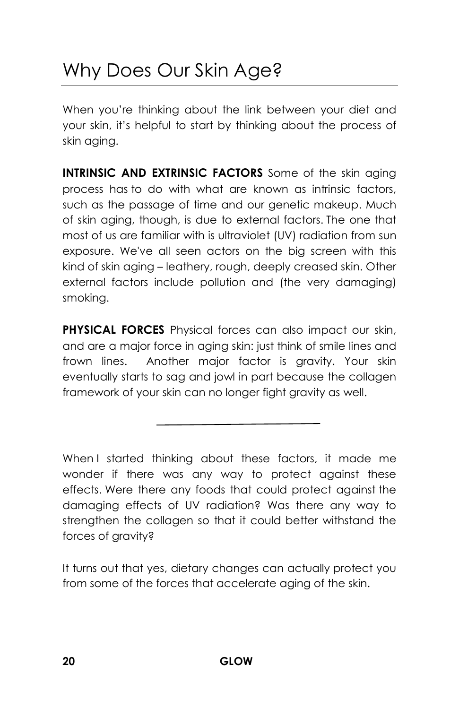## Why Does Our Skin Age?

When you're thinking about the link between your diet and your skin, it's helpful to start by thinking about the process of skin aging.

**INTRINSIC AND EXTRINSIC FACTORS** Some of the skin aging process has to do with what are known as intrinsic factors, such as the passage of time and our genetic makeup. Much of skin aging, though, is due to external factors. The one that most of us are familiar with is ultraviolet (UV) radiation from sun exposure. We've all seen actors on the big screen with this kind of skin aging – leathery, rough, deeply creased skin. Other external factors include pollution and (the very damaging) smoking.

**PHYSICAL FORCES** Physical forces can also impact our skin, and are a major force in aging skin: just think of smile lines and frown lines. Another major factor is gravity. Your skin eventually starts to sag and jowl in part because the collagen framework of your skin can no longer fight gravity as well.

When I started thinking about these factors, it made me wonder if there was any way to protect against these effects. Were there any foods that could protect against the damaging effects of UV radiation? Was there any way to strengthen the collagen so that it could better withstand the forces of gravity?

It turns out that yes, dietary changes can actually protect you from some of the forces that accelerate aging of the skin.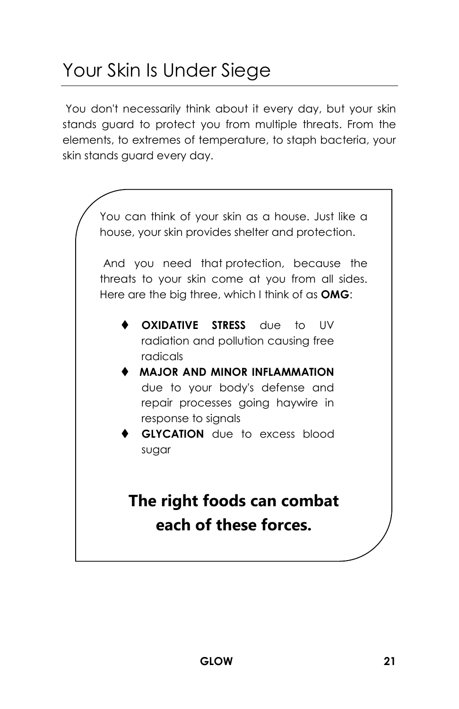## Your Skin Is Under Siege

You don't necessarily think about it every day, but your skin stands guard to protect you from multiple threats. From the elements, to extremes of temperature, to staph bacteria, your skin stands guard every day.

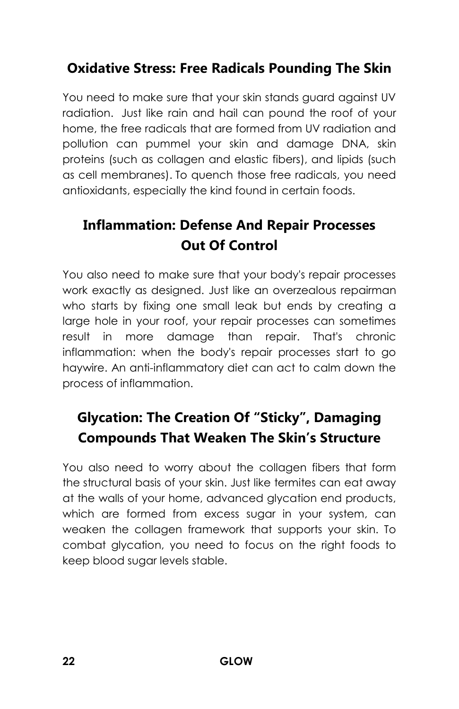## **Oxidative Stress: Free Radicals Pounding The Skin**

You need to make sure that your skin stands guard against UV radiation. Just like rain and hail can pound the roof of your home, the free radicals that are formed from UV radiation and pollution can pummel your skin and damage DNA, skin proteins (such as collagen and elastic fibers), and lipids (such as cell membranes). To quench those free radicals, you need antioxidants, especially the kind found in certain foods.

## **Inflammation: Defense And Repair Processes Out Of Control**

You also need to make sure that your body's repair processes work exactly as designed. Just like an overzealous repairman who starts by fixing one small leak but ends by creating a large hole in your roof, your repair processes can sometimes result in more damage than repair. That's chronic inflammation: when the body's repair processes start to go haywire. An anti-inflammatory diet can act to calm down the process of inflammation.

## **Glycation: The Creation Of "Sticky", Damaging Compounds That Weaken The Skin's Structure**

You also need to worry about the collagen fibers that form the structural basis of your skin. Just like termites can eat away at the walls of your home, advanced glycation end products, which are formed from excess sugar in your system, can weaken the collagen framework that supports your skin. To combat glycation, you need to focus on the right foods to keep blood sugar levels stable.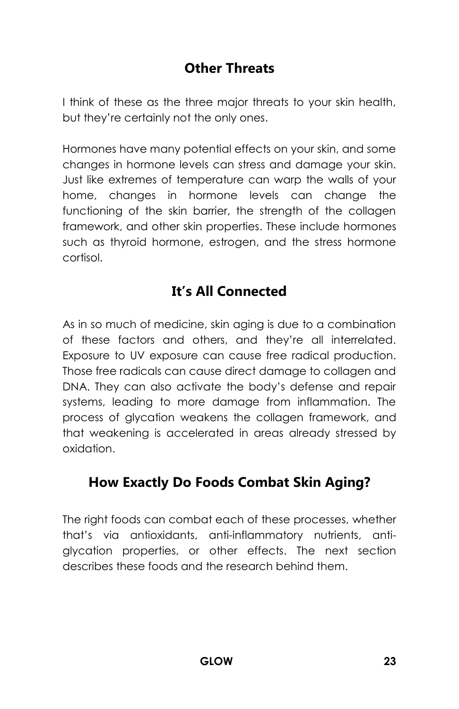## **Other Threats**

I think of these as the three major threats to your skin health, but they're certainly not the only ones.

Hormones have many potential effects on your skin, and some changes in hormone levels can stress and damage your skin. Just like extremes of temperature can warp the walls of your home, changes in hormone levels can change the functioning of the skin barrier, the strength of the collagen framework, and other skin properties. These include hormones such as thyroid hormone, estrogen, and the stress hormone cortisol.

## **It's All Connected**

As in so much of medicine, skin aging is due to a combination of these factors and others, and they're all interrelated. Exposure to UV exposure can cause free radical production. Those free radicals can cause direct damage to collagen and DNA. They can also activate the body's defense and repair systems, leading to more damage from inflammation. The process of glycation weakens the collagen framework, and that weakening is accelerated in areas already stressed by oxidation.

## **How Exactly Do Foods Combat Skin Aging?**

The right foods can combat each of these processes, whether that's via antioxidants, anti-inflammatory nutrients, antiglycation properties, or other effects. The next section describes these foods and the research behind them.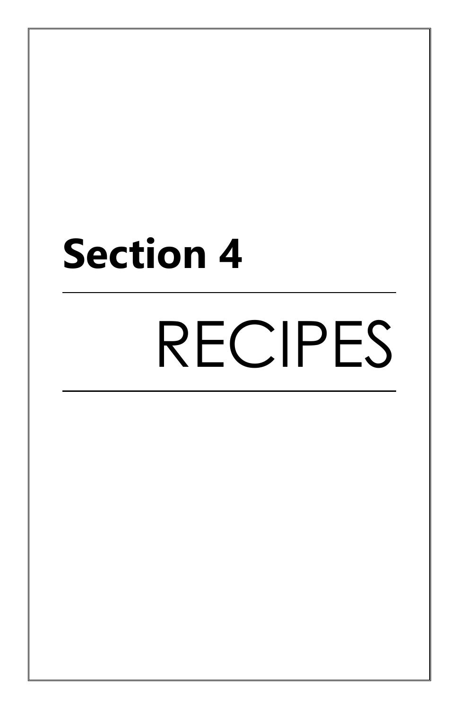# **Section 4**

# RECIPES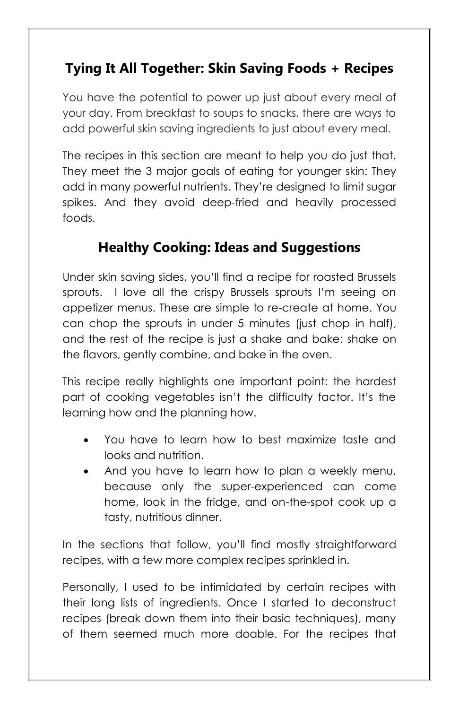## **Tying It All Together: Skin Saving Foods + Recipes**

You have the potential to power up just about every meal of your day. From breakfast to soups to snacks, there are ways to add powerful skin saving ingredients to just about every meal.

The recipes in this section are meant to help you do just that. They meet the 3 major goals of eating for younger skin: They add in many powerful nutrients. They're designed to limit sugar spikes. And they avoid deep-fried and heavily processed foods.

## **Healthy Cooking: Ideas and Suggestions**

Under skin saving sides, you'll find a recipe for roasted Brussels sprouts. I love all the crispy Brussels sprouts I'm seeing on appetizer menus. These are simple to re-create at home. You can chop the sprouts in under 5 minutes (just chop in half), and the rest of the recipe is just a shake and bake: shake on the flavors, gently combine, and bake in the oven.

This recipe really highlights one important point: the hardest part of cooking vegetables isn't the difficulty factor. It's the learning how and the planning how.

- You have to learn how to best maximize taste and looks and nutrition.
- And you have to learn how to plan a weekly menu, because only the super-experienced can come home, look in the fridge, and on-the-spot cook up a tasty, nutritious dinner.

In the sections that follow, you'll find mostly straightforward recipes, with a few more complex recipes sprinkled in.

Personally, I used to be intimidated by certain recipes with their long lists of ingredients. Once I started to deconstruct recipes (break down them into their basic techniques), many of them seemed much more doable. For the recipes that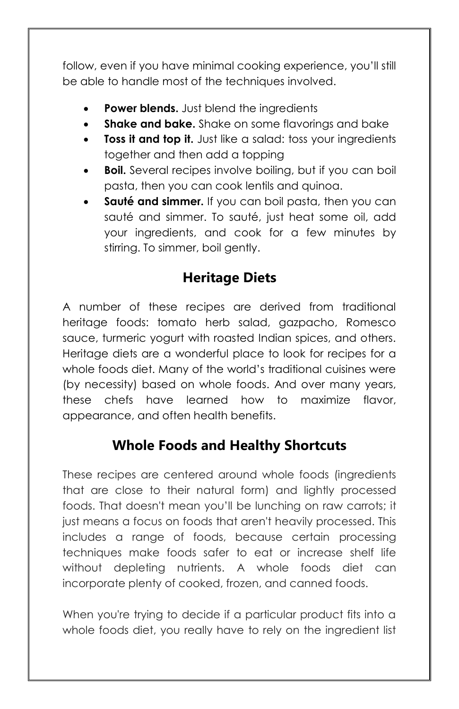follow, even if you have minimal cooking experience, you'll still be able to handle most of the techniques involved.

- **Power blends.** Just blend the ingredients
- **Shake and bake.** Shake on some flavorings and bake
- **Toss it and top it.** Just like a salad: toss your ingredients together and then add a topping
- **Boil.** Several recipes involve boiling, but if you can boil pasta, then you can cook lentils and quinoa.
- **Sauté and simmer.** If you can boil pasta, then you can sauté and simmer. To sauté, just heat some oil, add your ingredients, and cook for a few minutes by stirring. To simmer, boil gently.

#### **Heritage Diets**

A number of these recipes are derived from traditional heritage foods: tomato herb salad, gazpacho, Romesco sauce, turmeric yogurt with roasted Indian spices, and others. Heritage diets are a wonderful place to look for recipes for a whole foods diet. Many of the world's traditional cuisines were (by necessity) based on whole foods. And over many years, these chefs have learned how to maximize flavor, appearance, and often health benefits.

#### **Whole Foods and Healthy Shortcuts**

These recipes are centered around whole foods (ingredients that are close to their natural form) and lightly processed foods. That doesn't mean you'll be lunching on raw carrots; it just means a focus on foods that aren't heavily processed. This includes a range of foods, because certain processing techniques make foods safer to eat or increase shelf life without depleting nutrients. A whole foods diet can incorporate plenty of cooked, frozen, and canned foods.

When you're trying to decide if a particular product fits into a whole foods diet, you really have to rely on the ingredient list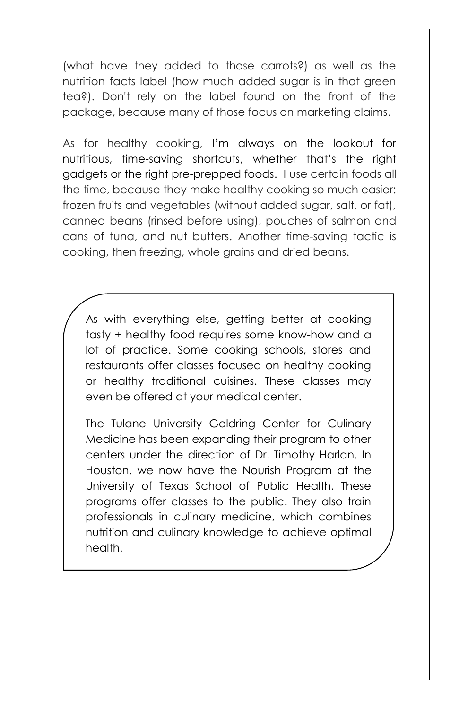(what have they added to those carrots?) as well as the nutrition facts label (how much added sugar is in that green tea?). Don't rely on the label found on the front of the package, because many of those focus on marketing claims.

As for healthy cooking, I'm always on the lookout for nutritious, time-saving shortcuts, whether that's the right gadgets or the right pre-prepped foods. I use certain foods all the time, because they make healthy cooking so much easier: frozen fruits and vegetables (without added sugar, salt, or fat), canned beans (rinsed before using), pouches of salmon and cans of tuna, and nut butters. Another time-saving tactic is cooking, then freezing, whole grains and dried beans.

As with everything else, getting better at cooking tasty + healthy food requires some know-how and a lot of practice. Some cooking schools, stores and restaurants offer classes focused on healthy cooking or healthy traditional cuisines. These classes may even be offered at your medical center.

The Tulane University Goldring Center for Culinary Medicine has been expanding their program to other centers under the direction of Dr. Timothy Harlan. In Houston, we now have the Nourish Program at the University of Texas School of Public Health. These programs offer classes to the public. They also train professionals in culinary medicine, which combines nutrition and culinary knowledge to achieve optimal health.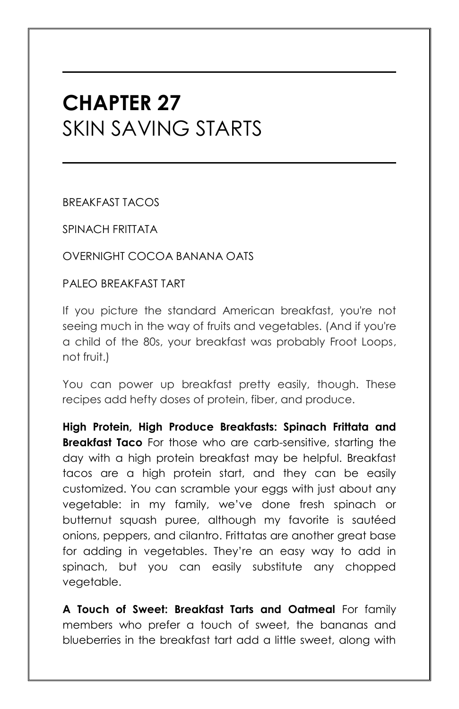## **CHAPTER 27** SKIN SAVING STARTS

BREAKFAST TACOS

SPINACH FRITTATA

OVERNIGHT COCOA BANANA OATS

PALEO BREAKFAST TART

If you picture the standard American breakfast, you're not seeing much in the way of fruits and vegetables. (And if you're a child of the 80s, your breakfast was probably Froot Loops, not fruit.)

You can power up breakfast pretty easily, though. These recipes add hefty doses of protein, fiber, and produce.

**High Protein, High Produce Breakfasts: Spinach Frittata and Breakfast Taco** For those who are carb-sensitive, starting the day with a high protein breakfast may be helpful. Breakfast tacos are a high protein start, and they can be easily customized. You can scramble your eggs with just about any vegetable: in my family, we've done fresh spinach or butternut squash puree, although my favorite is sautéed onions, peppers, and cilantro. Frittatas are another great base for adding in vegetables. They're an easy way to add in spinach, but you can easily substitute any chopped vegetable.

**A Touch of Sweet: Breakfast Tarts and Oatmeal** For family members who prefer a touch of sweet, the bananas and blueberries in the breakfast tart add a little sweet, along with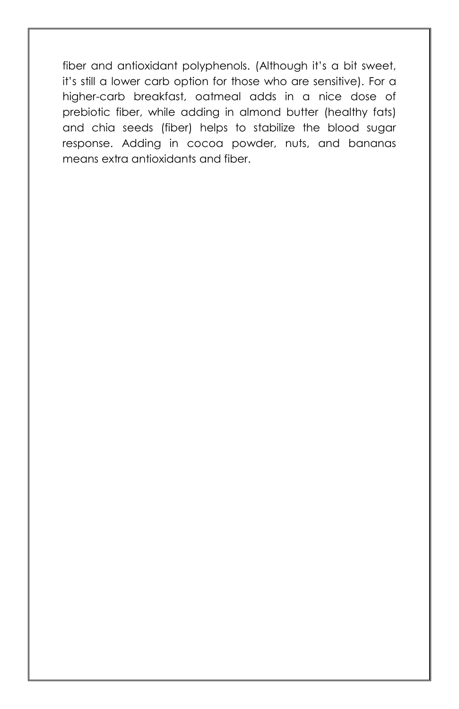fiber and antioxidant polyphenols. (Although it's a bit sweet, it's still a lower carb option for those who are sensitive). For a higher-carb breakfast, oatmeal adds in a nice dose of prebiotic fiber, while adding in almond butter (healthy fats) and chia seeds (fiber) helps to stabilize the blood sugar response. Adding in cocoa powder, nuts, and bananas means extra antioxidants and fiber.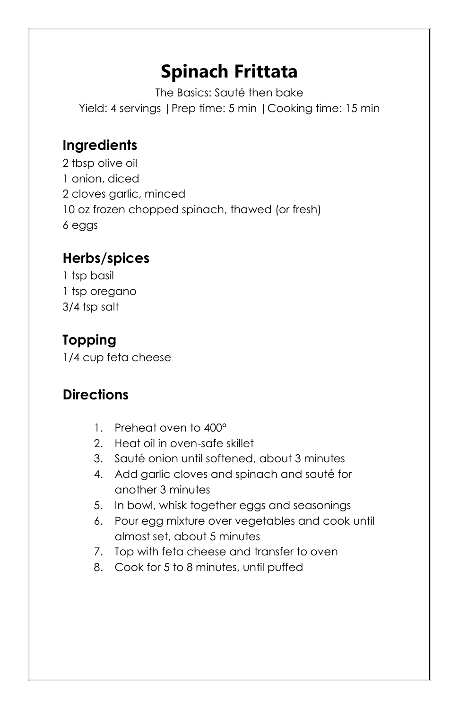## **Spinach Frittata**

The Basics: Sauté then bake Yield: 4 servings |Prep time: 5 min |Cooking time: 15 min

## **Ingredients**

2 tbsp olive oil 1 onion, diced 2 cloves garlic, minced 10 oz frozen chopped spinach, thawed (or fresh) 6 eggs

## **Herbs/spices**

1 tsp basil 1 tsp oregano 3/4 tsp salt

## **Topping**

1/4 cup feta cheese

## **Directions**

- 1. Preheat oven to 400°
- 2. Heat oil in oven-safe skillet
- 3. Sauté onion until softened, about 3 minutes
- 4. Add garlic cloves and spinach and sauté for another 3 minutes
- 5. In bowl, whisk together eggs and seasonings
- 6. Pour egg mixture over vegetables and cook until almost set, about 5 minutes
- 7. Top with feta cheese and transfer to oven
- 8. Cook for 5 to 8 minutes, until puffed